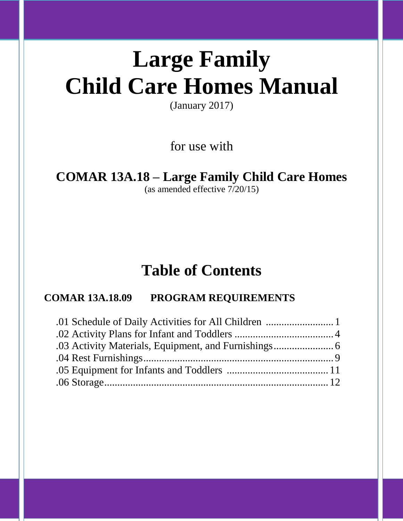# **Large Family Child Care Homes Manual**

(January 2017)

for use with

## **COMAR 13A.18 – Large Family Child Care Homes**

(as amended effective 7/20/15)

# **Table of Contents**

### **COMAR 13A.18.09 PROGRAM REQUIREMENTS**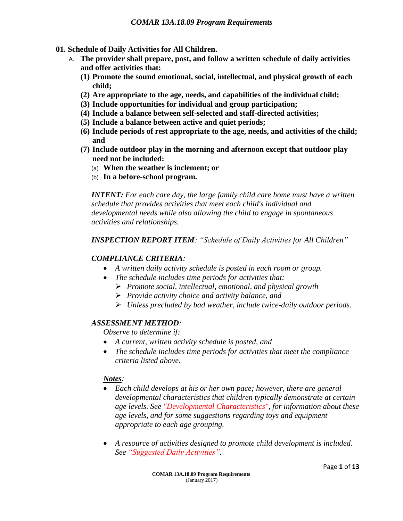- **01. Schedule of Daily Activities for All Children.**
	- A. **The provider shall prepare, post, and follow a written schedule of daily activities and offer activities that:**
		- **(1) Promote the sound emotional, social, intellectual, and physical growth of each child;**
		- **(2) Are appropriate to the age, needs, and capabilities of the individual child;**
		- **(3) Include opportunities for individual and group participation;**
		- **(4) Include a balance between self-selected and staff-directed activities;**
		- **(5) Include a balance between active and quiet periods;**
		- **(6) Include periods of rest appropriate to the age, needs, and activities of the child; and**
		- **(7) Include outdoor play in the morning and afternoon except that outdoor play need not be included:**
			- (a) **When the weather is inclement; or**
			- (b) **In a before-school program.**

*INTENT: For each care day, the large family child care home must have a written schedule that provides activities that meet each child's individual and developmental needs while also allowing the child to engage in spontaneous activities and relationships.*

#### *INSPECTION REPORT ITEM: "Schedule of Daily Activities for All Children"*

#### *COMPLIANCE CRITERIA:*

- *A written daily activity schedule is posted in each room or group.*
- *The schedule includes time periods for activities that:*
	- *Promote social, intellectual, emotional, and physical growth*
	- *Provide activity choice and activity balance, and*
	- *Unless precluded by bad weather, include twice-daily outdoor periods.*

#### *ASSESSMENT METHOD:*

*Observe to determine if:*

- *A current, written activity schedule is posted, and*
- *The schedule includes time periods for activities that meet the compliance criteria listed above.*

#### *Notes:*

- *Each child develops at his or her own pace; however, there are general developmental characteristics that children typically demonstrate at certain age levels. See "Developmental Characteristics", for information about these age levels, and for some suggestions regarding toys and equipment appropriate to each age grouping.*
- *A resource of activities designed to promote child development is included. See "Suggested Daily Activities".*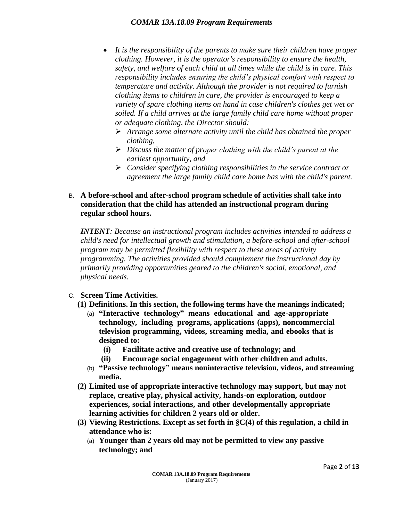- *It is the responsibility of the parents to make sure their children have proper clothing. However, it is the operator's responsibility to ensure the health, safety, and welfare of each child at all times while the child is in care. This responsibility includes ensuring the child's physical comfort with respect to temperature and activity. Although the provider is not required to furnish clothing items to children in care, the provider is encouraged to keep a variety of spare clothing items on hand in case children's clothes get wet or soiled. If a child arrives at the large family child care home without proper or adequate clothing, the Director should:*
	- *Arrange some alternate activity until the child has obtained the proper clothing,*
	- *Discuss the matter of proper clothing with the child's parent at the earliest opportunity, and*
	- *Consider specifying clothing responsibilities in the service contract or agreement the large family child care home has with the child's parent.*
- B. **A before-school and after-school program schedule of activities shall take into consideration that the child has attended an instructional program during regular school hours.**

*INTENT: Because an instructional program includes activities intended to address a child's need for intellectual growth and stimulation, a before-school and after-school program may be permitted flexibility with respect to these areas of activity programming. The activities provided should complement the instructional day by primarily providing opportunities geared to the children's social, emotional, and physical needs.*

#### C. **Screen Time Activities.**

- **(1) Definitions. In this section, the following terms have the meanings indicated;**
	- (a) **"Interactive technology" means educational and age-appropriate technology, including programs, applications (apps), noncommercial television programming, videos, streaming media, and ebooks that is designed to:**
		- **(i) Facilitate active and creative use of technology; and**
		- **(ii) Encourage social engagement with other children and adults.**
	- (b) **"Passive technology" means noninteractive television, videos, and streaming media.**
- **(2) Limited use of appropriate interactive technology may support, but may not replace, creative play, physical activity, hands-on exploration, outdoor experiences, social interactions, and other developmentally appropriate learning activities for children 2 years old or older.**
- **(3) Viewing Restrictions. Except as set forth in §C(4) of this regulation, a child in attendance who is:**
	- (a) **Younger than 2 years old may not be permitted to view any passive technology; and**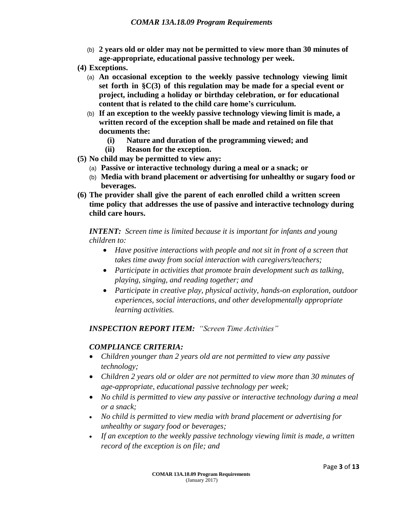- (b) **2 years old or older may not be permitted to view more than 30 minutes of age-appropriate, educational passive technology per week.**
- **(4) Exceptions.**
	- (a) **An occasional exception to the weekly passive technology viewing limit set forth in §C(3) of this regulation may be made for a special event or project, including a holiday or birthday celebration, or for educational content that is related to the child care home's curriculum.**
	- (b) **If an exception to the weekly passive technology viewing limit is made, a written record of the exception shall be made and retained on file that documents the:**
		- **(i) Nature and duration of the programming viewed; and**
		- **(ii) Reason for the exception.**
- **(5) No child may be permitted to view any:**
	- (a) **Passive or interactive technology during a meal or a snack; or**
	- (b) **Media with brand placement or advertising for unhealthy or sugary food or beverages.**
- **(6) The provider shall give the parent of each enrolled child a written screen time policy that addresses the use of passive and interactive technology during child care hours.**

*INTENT: Screen time is limited because it is important for infants and young children to:*

- *Have positive interactions with people and not sit in front of a screen that takes time away from social interaction with caregivers/teachers;*
- *Participate in activities that promote brain development such as talking, playing, singing, and reading together; and*
- *Participate in creative play, physical activity, hands-on exploration, outdoor experiences, social interactions, and other developmentally appropriate learning activities.*

#### *INSPECTION REPORT ITEM: "Screen Time Activities"*

#### *COMPLIANCE CRITERIA:*

- *Children younger than 2 years old are not permitted to view any passive technology;*
- *Children 2 years old or older are not permitted to view more than 30 minutes of age-appropriate, educational passive technology per week;*
- *No child is permitted to view any passive or interactive technology during a meal or a snack;*
- *No child is permitted to view media with brand placement or advertising for unhealthy or sugary food or beverages;*
- *If an exception to the weekly passive technology viewing limit is made, a written record of the exception is on file; and*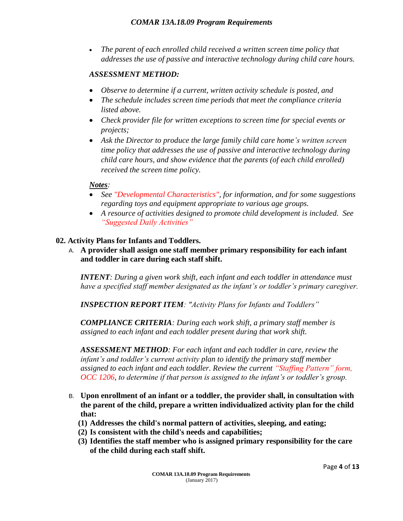*The parent of each enrolled child received a written screen time policy that addresses the use of passive and interactive technology during child care hours.* 

#### *ASSESSMENT METHOD:*

- *Observe to determine if a current, written activity schedule is posted, and*
- *The schedule includes screen time periods that meet the compliance criteria listed above.*
- *Check provider file for written exceptions to screen time for special events or projects;*
- *Ask the Director to produce the large family child care home's written screen time policy that addresses the use of passive and interactive technology during child care hours, and show evidence that the parents (of each child enrolled) received the screen time policy.*

#### *Notes:*

- *See "Developmental Characteristics", for information, and for some suggestions regarding toys and equipment appropriate to various age groups.*
- *A resource of activities designed to promote child development is included. See "Suggested Daily Activities"*

#### **02. Activity Plans for Infants and Toddlers.**

A. **A provider shall assign one staff member primary responsibility for each infant and toddler in care during each staff shift.**

*INTENT: During a given work shift, each infant and each toddler in attendance must have a specified staff member designated as the infant's or toddler's primary caregiver.*

*INSPECTION REPORT ITEM: "Activity Plans for Infants and Toddlers"*

*COMPLIANCE CRITERIA: During each work shift, a primary staff member is assigned to each infant and each toddler present during that work shift.*

*ASSESSMENT METHOD: For each infant and each toddler in care, review the infant's and toddler's current activity plan to identify the primary staff member assigned to each infant and each toddler. Review the current "Staffing Pattern" form, OCC 1206, to determine if that person is assigned to the infant's or toddler's group.* 

- B. **Upon enrollment of an infant or a toddler, the provider shall, in consultation with the parent of the child, prepare a written individualized activity plan for the child that:**
	- **(1) Addresses the child's normal pattern of activities, sleeping, and eating;**
	- **(2) Is consistent with the child's needs and capabilities;**
	- **(3) Identifies the staff member who is assigned primary responsibility for the care of the child during each staff shift.**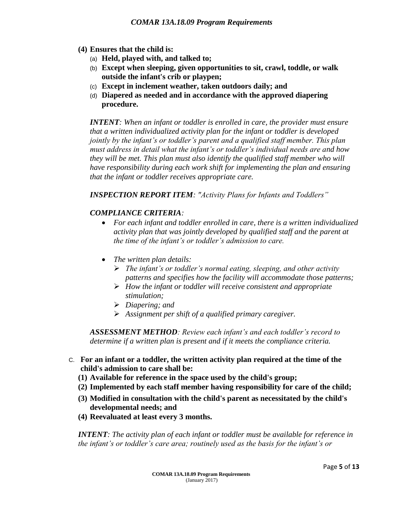- **(4) Ensures that the child is:**
	- (a) **Held, played with, and talked to;**
	- (b) **Except when sleeping, given opportunities to sit, crawl, toddle, or walk outside the infant's crib or playpen;**
	- (c) **Except in inclement weather, taken outdoors daily; and**
	- (d) **Diapered as needed and in accordance with the approved diapering procedure.**

*INTENT: When an infant or toddler is enrolled in care, the provider must ensure that a written individualized activity plan for the infant or toddler is developed jointly by the infant's or toddler's parent and a qualified staff member. This plan must address in detail what the infant's or toddler's individual needs are and how they will be met. This plan must also identify the qualified staff member who will have responsibility during each work shift for implementing the plan and ensuring that the infant or toddler receives appropriate care.*

*INSPECTION REPORT ITEM: "Activity Plans for Infants and Toddlers"*

#### *COMPLIANCE CRITERIA:*

- *For each infant and toddler enrolled in care, there is a written individualized activity plan that was jointly developed by qualified staff and the parent at the time of the infant's or toddler's admission to care.*
- *The written plan details:*
	- *The infant's or toddler's normal eating, sleeping, and other activity patterns and specifies how the facility will accommodate those patterns;*
	- *How the infant or toddler will receive consistent and appropriate stimulation;*
	- *Diapering; and*
	- *Assignment per shift of a qualified primary caregiver.*

*ASSESSMENT METHOD: Review each infant's and each toddler's record to determine if a written plan is present and if it meets the compliance criteria.*

- C. **For an infant or a toddler, the written activity plan required at the time of the child's admission to care shall be:**
	- **(1) Available for reference in the space used by the child's group;**
	- **(2) Implemented by each staff member having responsibility for care of the child;**
	- **(3) Modified in consultation with the child's parent as necessitated by the child's developmental needs; and**
	- **(4) Reevaluated at least every 3 months.**

*INTENT: The activity plan of each infant or toddler must be available for reference in the infant's or toddler's care area; routinely used as the basis for the infant's or*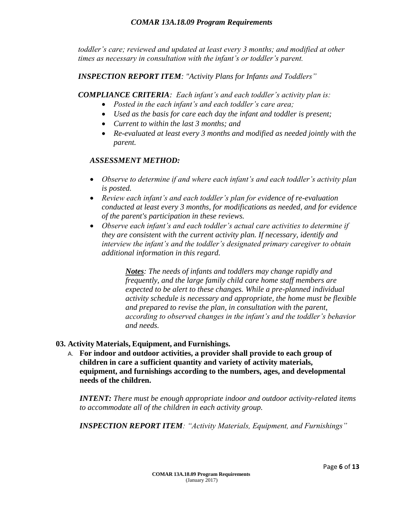*toddler's care; reviewed and updated at least every 3 months; and modified at other times as necessary in consultation with the infant's or toddler's parent.*

*INSPECTION REPORT ITEM: "Activity Plans for Infants and Toddlers"*

*COMPLIANCE CRITERIA: Each infant's and each toddler's activity plan is:*

- *Posted in the each infant's and each toddler's care area;*
- *Used as the basis for care each day the infant and toddler is present;*
- *Current to within the last 3 months; and*
- *Re-evaluated at least every 3 months and modified as needed jointly with the parent.*

#### *ASSESSMENT METHOD:*

- *Observe to determine if and where each infant's and each toddler's activity plan is posted.*
- *Review each infant's and each toddler's plan for evidence of re-evaluation conducted at least every 3 months, for modifications as needed, and for evidence of the parent's participation in these reviews.*
- *Observe each infant's and each toddler's actual care activities to determine if they are consistent with the current activity plan. If necessary, identify and interview the infant's and the toddler's designated primary caregiver to obtain additional information in this regard.*

*Notes: The needs of infants and toddlers may change rapidly and frequently, and the large family child care home staff members are expected to be alert to these changes. While a pre-planned individual activity schedule is necessary and appropriate, the home must be flexible and prepared to revise the plan, in consultation with the parent, according to observed changes in the infant's and the toddler's behavior and needs.*

#### **03. Activity Materials, Equipment, and Furnishings.**

A. **For indoor and outdoor activities, a provider shall provide to each group of children in care a sufficient quantity and variety of activity materials, equipment, and furnishings according to the numbers, ages, and developmental needs of the children.**

*INTENT: There must be enough appropriate indoor and outdoor activity-related items to accommodate all of the children in each activity group.*

*INSPECTION REPORT ITEM: "Activity Materials, Equipment, and Furnishings"*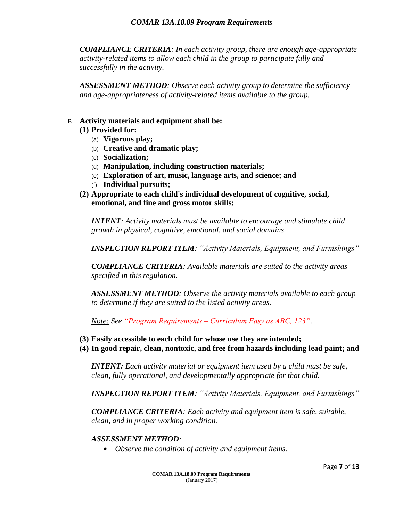*COMPLIANCE CRITERIA: In each activity group, there are enough age-appropriate activity-related items to allow each child in the group to participate fully and successfully in the activity.*

*ASSESSMENT METHOD: Observe each activity group to determine the sufficiency and age-appropriateness of activity-related items available to the group.*

#### B. **Activity materials and equipment shall be:**

- **(1) Provided for:**
	- (a) **Vigorous play;**
	- (b) **Creative and dramatic play;**
	- (c) **Socialization;**
	- (d) **Manipulation, including construction materials;**
	- (e) **Exploration of art, music, language arts, and science; and**
	- (f) **Individual pursuits;**
- **(2) Appropriate to each child's individual development of cognitive, social, emotional, and fine and gross motor skills;**

*INTENT: Activity materials must be available to encourage and stimulate child growth in physical, cognitive, emotional, and social domains.*

*INSPECTION REPORT ITEM: "Activity Materials, Equipment, and Furnishings"*

*COMPLIANCE CRITERIA: Available materials are suited to the activity areas specified in this regulation.*

*ASSESSMENT METHOD: Observe the activity materials available to each group to determine if they are suited to the listed activity areas.*

*Note: See "Program Requirements – Curriculum Easy as ABC, 123".*

- **(3) Easily accessible to each child for whose use they are intended;**
- **(4) In good repair, clean, nontoxic, and free from hazards including lead paint; and**

*INTENT: Each activity material or equipment item used by a child must be safe, clean, fully operational, and developmentally appropriate for that child.*

*INSPECTION REPORT ITEM: "Activity Materials, Equipment, and Furnishings"*

*COMPLIANCE CRITERIA: Each activity and equipment item is safe, suitable, clean, and in proper working condition.*

#### *ASSESSMENT METHOD:*

*Observe the condition of activity and equipment items.*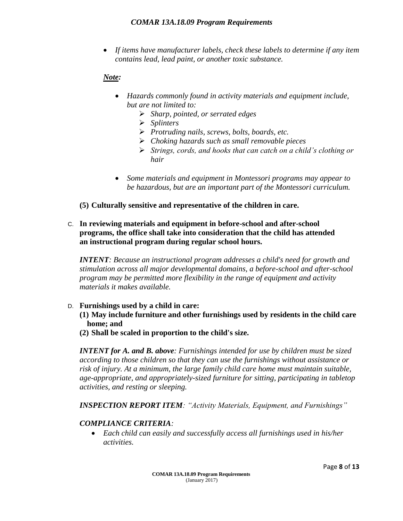*If items have manufacturer labels, check these labels to determine if any item contains lead, lead paint, or another toxic substance.*

#### *Note:*

- *Hazards commonly found in activity materials and equipment include, but are not limited to:*
	- *Sharp, pointed, or serrated edges*
	- *Splinters*
	- *Protruding nails, screws, bolts, boards, etc.*
	- *Choking hazards such as small removable pieces*
	- *Strings, cords, and hooks that can catch on a child's clothing or hair*
- *Some materials and equipment in Montessori programs may appear to be hazardous, but are an important part of the Montessori curriculum.*
- **(5) Culturally sensitive and representative of the children in care.**

#### C. **In reviewing materials and equipment in before-school and after-school programs, the office shall take into consideration that the child has attended an instructional program during regular school hours.**

*INTENT: Because an instructional program addresses a child's need for growth and stimulation across all major developmental domains, a before-school and after-school program may be permitted more flexibility in the range of equipment and activity materials it makes available.*

#### D. **Furnishings used by a child in care:**

- **(1) May include furniture and other furnishings used by residents in the child care home; and**
- **(2) Shall be scaled in proportion to the child's size.**

*INTENT for A. and B. above: Furnishings intended for use by children must be sized according to those children so that they can use the furnishings without assistance or risk of injury. At a minimum, the large family child care home must maintain suitable, age-appropriate, and appropriately-sized furniture for sitting, participating in tabletop activities, and resting or sleeping.*

*INSPECTION REPORT ITEM: "Activity Materials, Equipment, and Furnishings"*

#### *COMPLIANCE CRITERIA:*

 *Each child can easily and successfully access all furnishings used in his/her activities.*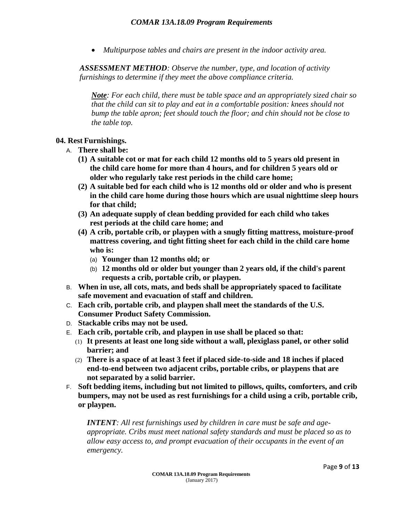*Multipurpose tables and chairs are present in the indoor activity area.*

*ASSESSMENT METHOD: Observe the number, type, and location of activity furnishings to determine if they meet the above compliance criteria.*

*Note: For each child, there must be table space and an appropriately sized chair so that the child can sit to play and eat in a comfortable position: knees should not bump the table apron; feet should touch the floor; and chin should not be close to the table top.*

#### **04. Rest Furnishings.**

- A. **There shall be:**
	- **(1) A suitable cot or mat for each child 12 months old to 5 years old present in the child care home for more than 4 hours, and for children 5 years old or older who regularly take rest periods in the child care home;**
	- **(2) A suitable bed for each child who is 12 months old or older and who is present in the child care home during those hours which are usual nighttime sleep hours for that child;**
	- **(3) An adequate supply of clean bedding provided for each child who takes rest periods at the child care home; and**
	- **(4) A crib, portable crib, or playpen with a snugly fitting mattress, moisture-proof mattress covering, and tight fitting sheet for each child in the child care home who is:**
		- (a) **Younger than 12 months old; or**
		- (b) **12 months old or older but younger than 2 years old, if the child's parent requests a crib, portable crib, or playpen.**
- B. **When in use, all cots, mats, and beds shall be appropriately spaced to facilitate safe movement and evacuation of staff and children.**
- C. **Each crib, portable crib, and playpen shall meet the standards of the U.S. Consumer Product Safety Commission.**
- D. **Stackable cribs may not be used.**
- E. **Each crib, portable crib, and playpen in use shall be placed so that:**
	- (1) **It presents at least one long side without a wall, plexiglass panel, or other solid barrier; and**
	- (2) **There is a space of at least 3 feet if placed side-to-side and 18 inches if placed end-to-end between two adjacent cribs, portable cribs, or playpens that are not separated by a solid barrier.**
- F. **Soft bedding items, including but not limited to pillows, quilts, comforters, and crib bumpers, may not be used as rest furnishings for a child using a crib, portable crib, or playpen.**

*INTENT: All rest furnishings used by children in care must be safe and ageappropriate. Cribs must meet national safety standards and must be placed so as to allow easy access to, and prompt evacuation of their occupants in the event of an emergency.*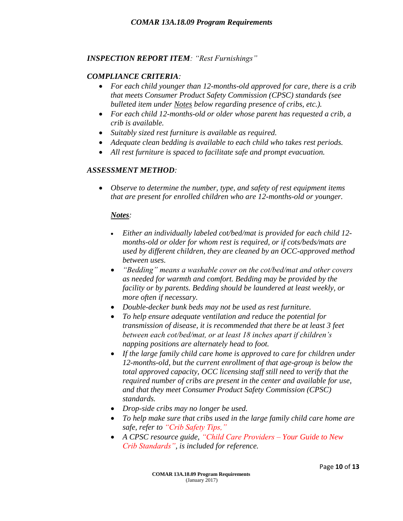#### *INSPECTION REPORT ITEM: "Rest Furnishings"*

#### *COMPLIANCE CRITERIA:*

- *For each child younger than 12-months-old approved for care, there is a crib that meets Consumer Product Safety Commission (CPSC) standards (see bulleted item under Notes below regarding presence of cribs, etc.).*
- *For each child 12-months-old or older whose parent has requested a crib, a crib is available.*
- *Suitably sized rest furniture is available as required.*
- *Adequate clean bedding is available to each child who takes rest periods.*
- *All rest furniture is spaced to facilitate safe and prompt evacuation.*

#### *ASSESSMENT METHOD:*

 *Observe to determine the number, type, and safety of rest equipment items that are present for enrolled children who are 12-months-old or younger.*

#### *Notes:*

- *Either an individually labeled cot/bed/mat is provided for each child 12 months-old or older for whom rest is required, or if cots/beds/mats are used by different children, they are cleaned by an OCC-approved method between uses.*
- *"Bedding" means a washable cover on the cot/bed/mat and other covers as needed for warmth and comfort. Bedding may be provided by the facility or by parents. Bedding should be laundered at least weekly, or more often if necessary.*
- *Double-decker bunk beds may not be used as rest furniture.*
- *To help ensure adequate ventilation and reduce the potential for transmission of disease, it is recommended that there be at least 3 feet between each cot/bed/mat, or at least 18 inches apart if children's napping positions are alternately head to foot.*
- *If the large family child care home is approved to care for children under 12-months-old, but the current enrollment of that age-group is below the total approved capacity, OCC licensing staff still need to verify that the required number of cribs are present in the center and available for use, and that they meet Consumer Product Safety Commission (CPSC) standards.*
- *Drop-side cribs may no longer be used.*
- *To help make sure that cribs used in the large family child care home are safe, refer to "Crib Safety Tips,"*
- *A CPSC resource guide, "Child Care Providers – Your Guide to New Crib Standards", is included for reference.*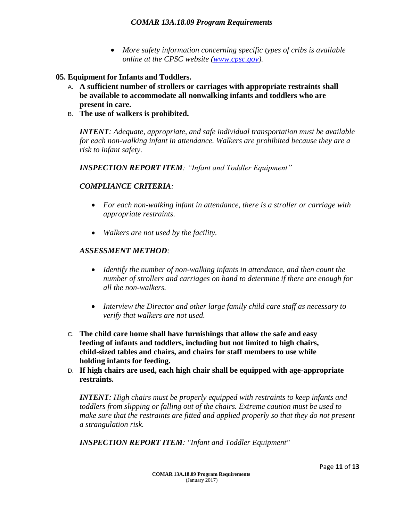- *More safety information concerning specific types of cribs is available online at the CPSC website [\(www.cpsc.gov\)](http://www.cpsc.gov/).*
- **05. Equipment for Infants and Toddlers.**
	- A. **A sufficient number of strollers or carriages with appropriate restraints shall be available to accommodate all nonwalking infants and toddlers who are present in care.**
	- B. **The use of walkers is prohibited.**

*INTENT: Adequate, appropriate, and safe individual transportation must be available for each non-walking infant in attendance. Walkers are prohibited because they are a risk to infant safety.*

*INSPECTION REPORT ITEM: "Infant and Toddler Equipment"*

#### *COMPLIANCE CRITERIA:*

- *For each non-walking infant in attendance, there is a stroller or carriage with appropriate restraints.*
- *Walkers are not used by the facility.*

#### *ASSESSMENT METHOD:*

- *Identify the number of non-walking infants in attendance, and then count the number of strollers and carriages on hand to determine if there are enough for all the non-walkers.*
- *Interview the Director and other large family child care staff as necessary to verify that walkers are not used.*
- C. **The child care home shall have furnishings that allow the safe and easy feeding of infants and toddlers, including but not limited to high chairs, child-sized tables and chairs, and chairs for staff members to use while holding infants for feeding.**
- D. **If high chairs are used, each high chair shall be equipped with age-appropriate restraints.**

*INTENT: High chairs must be properly equipped with restraints to keep infants and toddlers from slipping or falling out of the chairs. Extreme caution must be used to make sure that the restraints are fitted and applied properly so that they do not present a strangulation risk.*

*INSPECTION REPORT ITEM: "Infant and Toddler Equipment"*